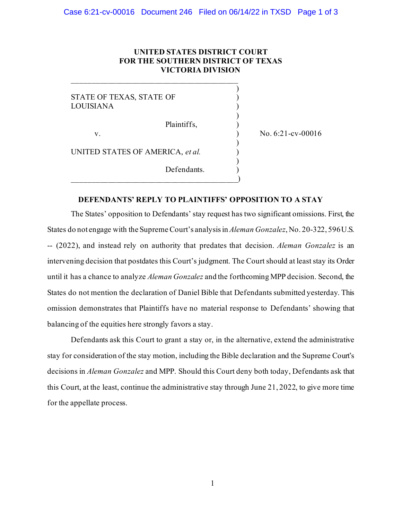## **UNITED STATES DISTRICT COURT FOR THE SOUTHERN DISTRICT OF TEXAS VICTORIA DIVISION**

)

)

)

)

STATE OF TEXAS, STATE OF  $\qquad \qquad$  ) LOUISIANA )

Plaintiffs, )

v. ) No. 6:21-cv-00016

UNITED STATES OF AMERICA, *et al.* )

\_\_\_\_\_\_\_\_\_\_\_\_\_\_\_\_\_\_\_\_\_\_\_\_\_\_\_\_\_\_\_\_\_\_\_\_\_\_\_\_\_\_

\_\_\_\_\_\_\_\_\_\_\_\_\_\_\_\_\_\_\_\_\_\_\_\_\_\_\_\_\_\_\_\_\_\_\_\_\_\_\_\_\_\_)

Defendants.

## **DEFENDANTS' REPLY TO PLAINTIFFS' OPPOSITION TO A STAY**

The States' opposition to Defendants' stay request has two significant omissions. First, the States do not engage with the Supreme Court's analysis in *Aleman Gonzalez*, No. 20-322, 596 U.S. -- (2022), and instead rely on authority that predates that decision. *Aleman Gonzalez* is an intervening decision that postdates this Court's judgment. The Court should at least stay its Order until it has a chance to analyze *Aleman Gonzalez* and the forthcoming MPP decision. Second, the States do not mention the declaration of Daniel Bible that Defendants submitted yesterday. This omission demonstrates that Plaintiffs have no material response to Defendants' showing that balancing of the equities here strongly favors a stay.

Defendants ask this Court to grant a stay or, in the alternative, extend the administrative stay for consideration of the stay motion, including the Bible declaration and the Supreme Court's decisions in *Aleman Gonzalez* and MPP. Should this Court deny both today, Defendants ask that this Court, at the least, continue the administrative stay through June 21, 2022, to give more time for the appellate process.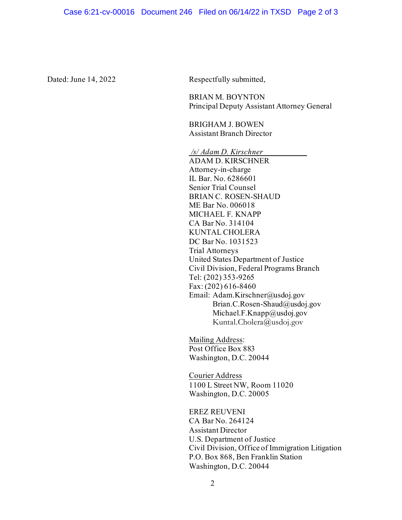Dated: June 14, 2022 Respectfully submitted,

 BRIAN M. BOYNTON Principal Deputy Assistant Attorney General

BRIGHAM J. BOWEN Assistant Branch Director

*/s/ Adam D. Kirschner* 

ADAM D. KIRSCHNER Attorney-in-charge IL Bar. No. 6286601 Senior Trial Counsel BRIAN C. ROSEN-SHAUD ME Bar No. 006018 MICHAEL F. KNAPP CA Bar No. 314104 KUNTAL CHOLERA DC Bar No. 1031523 Trial Attorneys United States Department of Justice Civil Division, Federal Programs Branch Tel: (202) 353-9265 Fax: (202) 616-8460 Email: Adam.Kirschner@usdoj.gov Brian.C.Rosen-Shaud@usdoj.gov Michael.F.Knapp@usdoj.gov Kuntal.Cholera@usdoj.gov

Mailing Address: Post Office Box 883 Washington, D.C. 20044

Courier Address 1100 L Street NW, Room 11020 Washington, D.C. 20005

EREZ REUVENI CA Bar No. 264124 Assistant Director U.S. Department of Justice Civil Division, Office of Immigration Litigation P.O. Box 868, Ben Franklin Station Washington, D.C. 20044